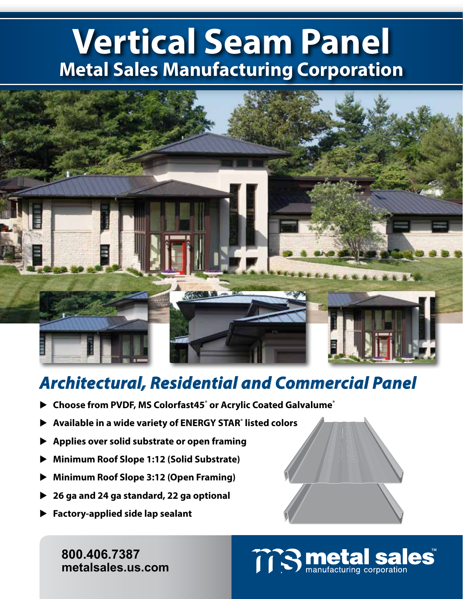# **Vertical Seam Panel Metal Sales Manufacturing Corporation**



### *Architectural, Residential and Commercial Panel*

- ▶ Choose from PVDF, MS Colorfast45<sup>®</sup> or Acrylic Coated Galvalume<sup>®</sup>
- **Available in a wide variety of ENERGY STAR® listed colors**
- **Applies over solid substrate or open framing**
- **Minimum Roof Slope 1:12 (Solid Substrate)**
- **Minimum Roof Slope 3:12 (Open Framing)**
- **26 ga and 24 ga standard, 22 ga optional**
- **Factory-applied side lap sealant**

**800.406.7387 800.406.7387 www.metalsales.us.com metalsales.us.com**